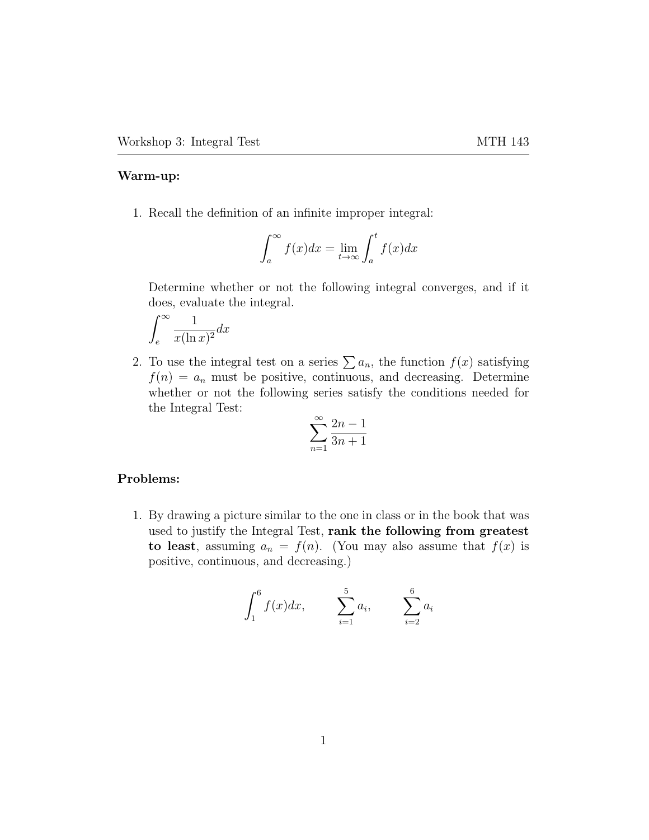## Warm-up:

1. Recall the definition of an infinite improper integral:

$$
\int_{a}^{\infty} f(x)dx = \lim_{t \to \infty} \int_{a}^{t} f(x)dx
$$

Determine whether or not the following integral converges, and if it does, evaluate the integral.

$$
\int_{e}^{\infty} \frac{1}{x(\ln x)^2} dx
$$

2. To use the integral test on a series  $\sum a_n$ , the function  $f(x)$  satisfying  $f(n) = a_n$  must be positive, continuous, and decreasing. Determine whether or not the following series satisfy the conditions needed for the Integral Test:

$$
\sum_{n=1}^{\infty} \frac{2n-1}{3n+1}
$$

## Problems:

1. By drawing a picture similar to the one in class or in the book that was used to justify the Integral Test, rank the following from greatest to least, assuming  $a_n = f(n)$ . (You may also assume that  $f(x)$  is positive, continuous, and decreasing.)

$$
\int_{1}^{6} f(x)dx, \qquad \sum_{i=1}^{5} a_i, \qquad \sum_{i=2}^{6} a_i
$$